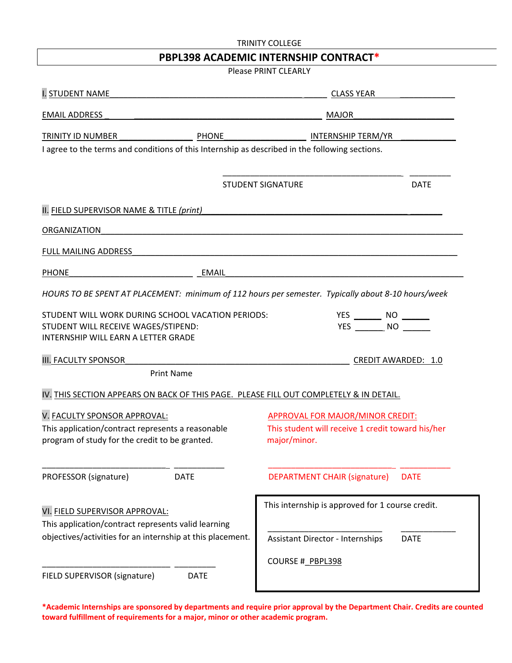| <b>TRINITY COLLEGE</b><br>PBPL398 ACADEMIC INTERNSHIP CONTRACT*                                    |                                                        |
|----------------------------------------------------------------------------------------------------|--------------------------------------------------------|
|                                                                                                    |                                                        |
| <b>I. STUDENT NAME</b>                                                                             | CLASS YEAR                                             |
| <b>EMAIL ADDRESS</b>                                                                               | MAJOR                                                  |
| TRINITY ID NUMBER<br><b>PHONE</b>                                                                  | <b>INTERNSHIP TERM/YR</b>                              |
| I agree to the terms and conditions of this Internship as described in the following sections.     |                                                        |
|                                                                                                    |                                                        |
|                                                                                                    | <b>STUDENT SIGNATURE</b><br><b>DATE</b>                |
| II. FIELD SUPERVISOR NAME & TITLE (print)                                                          |                                                        |
| ORGANIZATION                                                                                       |                                                        |
| FULL MAILING ADDRESS                                                                               |                                                        |
|                                                                                                    |                                                        |
| PHONE<br>EMAIL                                                                                     |                                                        |
| HOURS TO BE SPENT AT PLACEMENT: minimum of 112 hours per semester. Typically about 8-10 hours/week |                                                        |
| STUDENT WILL WORK DURING SCHOOL VACATION PERIODS:                                                  | YES ________ NO _______                                |
| STUDENT WILL RECEIVE WAGES/STIPEND:                                                                | YES NO                                                 |
| INTERNSHIP WILL EARN A LETTER GRADE                                                                |                                                        |
| <b>III. FACULTY SPONSOR</b>                                                                        | <b>CREDIT AWARDED: 1.0</b>                             |
| <b>Print Name</b>                                                                                  |                                                        |
| IV. THIS SECTION APPEARS ON BACK OF THIS PAGE. PLEASE FILL OUT COMPLETELY & IN DETAIL.             |                                                        |
| V. FACULTY SPONSOR APPROVAL:                                                                       | APPROVAL FOR MAJOR/MINOR CREDIT:                       |
| This application/contract represents a reasonable                                                  | This student will receive 1 credit toward his/her      |
| program of study for the credit to be granted.                                                     | major/minor.                                           |
|                                                                                                    |                                                        |
| PROFESSOR (signature)<br><b>DATE</b>                                                               | <b>DEPARTMENT CHAIR (signature)</b><br><b>DATE</b>     |
|                                                                                                    | This internship is approved for 1 course credit.       |
| VI. FIELD SUPERVISOR APPROVAL:                                                                     |                                                        |
| This application/contract represents valid learning                                                |                                                        |
| objectives/activities for an internship at this placement.                                         | <b>DATE</b><br><b>Assistant Director - Internships</b> |
|                                                                                                    | COURSE # PBPL398                                       |
| FIELD SUPERVISOR (signature)<br><b>DATE</b>                                                        |                                                        |
|                                                                                                    |                                                        |

\*Academic Internships are sponsored by departments and require prior approval by the Department Chair. Credits are counted toward fulfillment of requirements for a major, minor or other academic program.